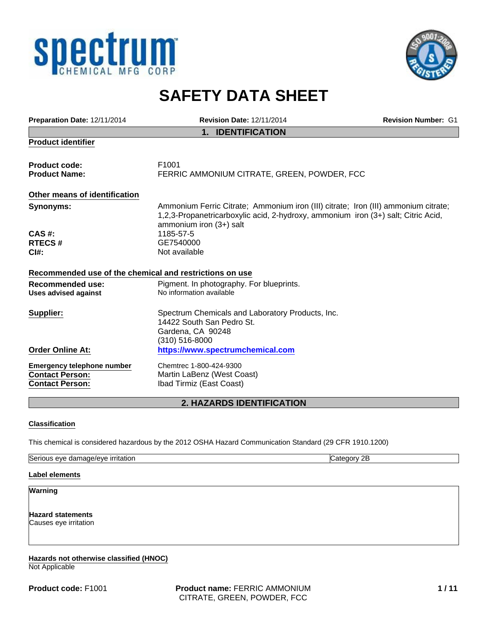



# **SAFETY DATA SHEET**

| Preparation Date: 12/11/2014                                                          | <b>Revision Date: 12/11/2014</b>                                                                                                                                                                   | <b>Revision Number: G1</b> |
|---------------------------------------------------------------------------------------|----------------------------------------------------------------------------------------------------------------------------------------------------------------------------------------------------|----------------------------|
|                                                                                       | <b>IDENTIFICATION</b><br>$1_{-}$                                                                                                                                                                   |                            |
| <b>Product identifier</b>                                                             |                                                                                                                                                                                                    |                            |
| <b>Product code:</b>                                                                  | F <sub>1001</sub>                                                                                                                                                                                  |                            |
| <b>Product Name:</b>                                                                  | FERRIC AMMONIUM CITRATE, GREEN, POWDER, FCC                                                                                                                                                        |                            |
| Other means of identification                                                         |                                                                                                                                                                                                    |                            |
| Synonyms:                                                                             | Ammonium Ferric Citrate; Ammonium iron (III) citrate; Iron (III) ammonium citrate;<br>1,2,3-Propanetricarboxylic acid, 2-hydroxy, ammonium iron (3+) salt; Citric Acid,<br>ammonium iron (3+) salt |                            |
| CAS #:                                                                                | 1185-57-5                                                                                                                                                                                          |                            |
| <b>RTECS#</b>                                                                         | GE7540000                                                                                                                                                                                          |                            |
| C <sub>1#</sub>                                                                       | Not available                                                                                                                                                                                      |                            |
| Recommended use of the chemical and restrictions on use                               |                                                                                                                                                                                                    |                            |
| <b>Recommended use:</b><br><b>Uses advised against</b>                                | Pigment. In photography. For blueprints.<br>No information available                                                                                                                               |                            |
| Supplier:                                                                             | Spectrum Chemicals and Laboratory Products, Inc.<br>14422 South San Pedro St.<br>Gardena, CA 90248<br>(310) 516-8000                                                                               |                            |
| <b>Order Online At:</b>                                                               | https://www.spectrumchemical.com                                                                                                                                                                   |                            |
| <b>Emergency telephone number</b><br><b>Contact Person:</b><br><b>Contact Person:</b> | Chemtrec 1-800-424-9300<br>Martin LaBenz (West Coast)<br>Ibad Tirmiz (East Coast)                                                                                                                  |                            |
|                                                                                       | <b>2. HAZARDS IDENTIFICATION</b>                                                                                                                                                                   |                            |

#### **Classification**

This chemical is considered hazardous by the 2012 OSHA Hazard Communication Standard (29 CFR 1910.1200)

| Serious<br><u>irritation</u><br>: damage/eve<br>eve | $\overline{ }$<br>വം<br>≀u∪u<br>י<br>-- |
|-----------------------------------------------------|-----------------------------------------|

#### **Label elements**

**Warning**

**Hazard statements** Causes eye irritation

**Hazards not otherwise classified (HNOC)** Not Applicable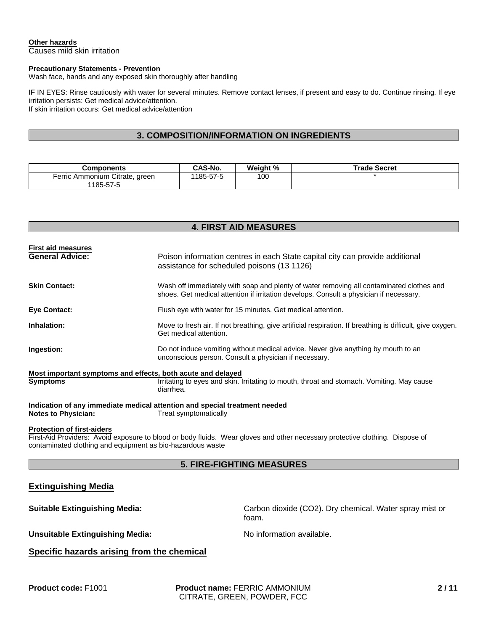#### **Other hazards**

Causes mild skin irritation

#### **Precautionary Statements - Prevention**

Wash face, hands and any exposed skin thoroughly after handling

IF IN EYES: Rinse cautiously with water for several minutes. Remove contact lenses, if present and easy to do. Continue rinsing. If eye irritation persists: Get medical advice/attention. If skin irritation occurs: Get medical advice/attention

#### **3. COMPOSITION/INFORMATION ON INGREDIENTS**

| Components                                     | CAS-No.        | Weight % | <b>Trade Secret</b> |
|------------------------------------------------|----------------|----------|---------------------|
| Ferric Ammonium Citrate,<br>green<br>1185-57-5 | $185 - 57 - 5$ | 100      |                     |

### **4. FIRST AID MEASURES**

| <b>First aid measures</b><br><b>General Advice:</b>         | Poison information centres in each State capital city can provide additional<br>assistance for scheduled poisons (13 1126)                                                         |
|-------------------------------------------------------------|------------------------------------------------------------------------------------------------------------------------------------------------------------------------------------|
| <b>Skin Contact:</b>                                        | Wash off immediately with soap and plenty of water removing all contaminated clothes and<br>shoes. Get medical attention if irritation develops. Consult a physician if necessary. |
| <b>Eye Contact:</b>                                         | Flush eye with water for 15 minutes. Get medical attention.                                                                                                                        |
| Inhalation:                                                 | Move to fresh air. If not breathing, give artificial respiration. If breathing is difficult, give oxygen.<br>Get medical attention.                                                |
| Ingestion:                                                  | Do not induce vomiting without medical advice. Never give anything by mouth to an<br>unconscious person. Consult a physician if necessary.                                         |
| Most important symptoms and effects, both acute and delayed |                                                                                                                                                                                    |
| <b>Symptoms</b>                                             | Irritating to eyes and skin. Irritating to mouth, throat and stomach. Vomiting. May cause<br>diarrhea.                                                                             |
|                                                             | Indication of any immediate medical attention and special treatment needed                                                                                                         |
| <b>Notes to Physician:</b>                                  | Treat symptomatically                                                                                                                                                              |

#### **Protection of first-aiders**

First-Aid Providers: Avoid exposure to blood or body fluids. Wear gloves and other necessary protective clothing. Dispose of contaminated clothing and equipment as bio-hazardous waste

### **5. FIRE-FIGHTING MEASURES**

#### **Extinguishing Media**

**Suitable Extinguishing Media:** Carbon dioxide (CO2). Dry chemical. Water spray mist or foam.

Unsuitable Extinguishing Media: No information available.

### **Specific hazards arising from the chemical**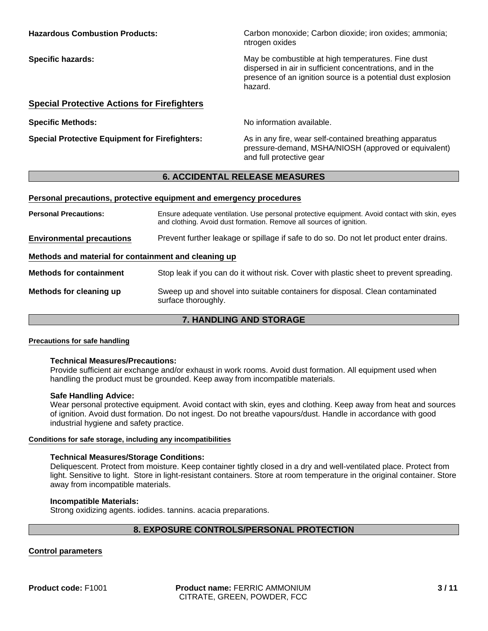| <b>Hazardous Combustion Products:</b>              | Carbon monoxide; Carbon dioxide; iron oxides; ammonia;<br>ntrogen oxides                                                                                                                   |
|----------------------------------------------------|--------------------------------------------------------------------------------------------------------------------------------------------------------------------------------------------|
| <b>Specific hazards:</b>                           | May be combustible at high temperatures. Fine dust<br>dispersed in air in sufficient concentrations, and in the<br>presence of an ignition source is a potential dust explosion<br>hazard. |
| <b>Special Protective Actions for Firefighters</b> |                                                                                                                                                                                            |

**Specific Methods:** No information available.

**Special Protective Equipment for Firefighters:** As in any fire, wear self-contained breathing apparatus pressure-demand, MSHA/NIOSH (approved or equivalent) and full protective gear

### **6. ACCIDENTAL RELEASE MEASURES**

#### **Personal precautions, protective equipment and emergency procedures**

| <b>Personal Precautions:</b>                         | Ensure adequate ventilation. Use personal protective equipment. Avoid contact with skin, eyes<br>and clothing. Avoid dust formation. Remove all sources of ignition. |
|------------------------------------------------------|----------------------------------------------------------------------------------------------------------------------------------------------------------------------|
| <b>Environmental precautions</b>                     | Prevent further leakage or spillage if safe to do so. Do not let product enter drains.                                                                               |
| Methods and material for containment and cleaning up |                                                                                                                                                                      |
| <b>Methods for containment</b>                       | Stop leak if you can do it without risk. Cover with plastic sheet to prevent spreading.                                                                              |
| Methods for cleaning up                              | Sweep up and shovel into suitable containers for disposal. Clean contaminated<br>surface thoroughly.                                                                 |

# **7. HANDLING AND STORAGE**

#### **Precautions for safe handling**

#### **Technical Measures/Precautions:**

Provide sufficient air exchange and/or exhaust in work rooms. Avoid dust formation. All equipment used when handling the product must be grounded. Keep away from incompatible materials.

#### **Safe Handling Advice:**

Wear personal protective equipment. Avoid contact with skin, eyes and clothing. Keep away from heat and sources of ignition. Avoid dust formation. Do not ingest. Do not breathe vapours/dust. Handle in accordance with good industrial hygiene and safety practice.

#### **Conditions for safe storage, including any incompatibilities**

#### **Technical Measures/Storage Conditions:**

Deliquescent. Protect from moisture. Keep container tightly closed in a dry and well-ventilated place. Protect from light. Sensitive to light. Store in light-resistant containers. Store at room temperature in the original container. Store away from incompatible materials.

#### **Incompatible Materials:**

Strong oxidizing agents. iodides. tannins. acacia preparations.

### **8. EXPOSURE CONTROLS/PERSONAL PROTECTION**

#### **Control parameters**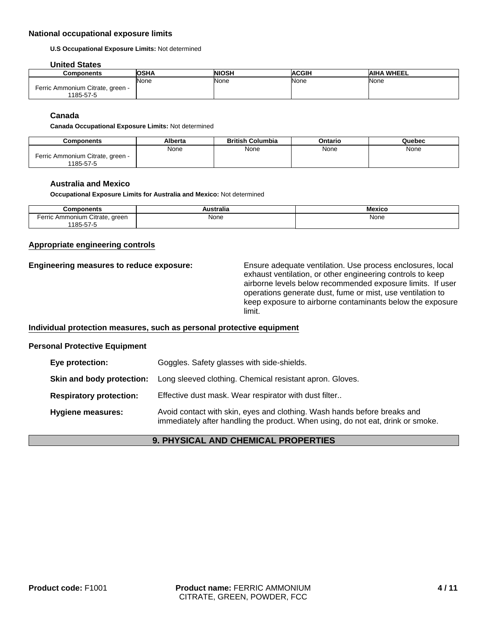#### **National occupational exposure limits**

**U.S Occupational Exposure Limits:** Not determined

#### **United States**

| <b>Components</b>                | <b>OSHA</b> | <b>NIOSH</b> | <b>ACGIH</b> | <b>AIHA WHEEL</b> |
|----------------------------------|-------------|--------------|--------------|-------------------|
|                                  | <b>None</b> | None         | None         | None              |
| Ferric Ammonium Citrate, green - |             |              |              |                   |
| 1185-57-5                        |             |              |              |                   |

#### **Canada**

**Canada Occupational Exposure Limits:** Not determined

| Components                                    | Alberta | <b>British Columbia</b> | Ontario | Quebec |
|-----------------------------------------------|---------|-------------------------|---------|--------|
|                                               | None    | None                    | None    | None   |
| Ferric Ammonium Citrate, green -<br>1185-57-5 |         |                         |         |        |

#### **Australia and Mexico**

**Occupational Exposure Limits for Australia and Mexico:** Not determined

| Components                                                                                  | .<br>wsu ana | Mexico |
|---------------------------------------------------------------------------------------------|--------------|--------|
| Citrate.<br>Ammonium<br>areen<br>rerric<br>. .<br>185.5.<br>$\cdot$<br>$\ddot{\phantom{a}}$ | None         | None   |

#### **Appropriate engineering controls**

**Engineering measures to reduce exposure:** Ensure adequate ventilation. Use process enclosures, local exhaust ventilation, or other engineering controls to keep airborne levels below recommended exposure limits. If user operations generate dust, fume or mist, use ventilation to keep exposure to airborne contaminants below the exposure limit.

#### **Individual protection measures, such as personal protective equipment**

#### **Personal Protective Equipment**

| Eye protection:                | Goggles. Safety glasses with side-shields.                                                                                                                  |
|--------------------------------|-------------------------------------------------------------------------------------------------------------------------------------------------------------|
| Skin and body protection:      | Long sleeved clothing. Chemical resistant apron. Gloves.                                                                                                    |
| <b>Respiratory protection:</b> | Effective dust mask. Wear respirator with dust filter                                                                                                       |
| <b>Hygiene measures:</b>       | Avoid contact with skin, eyes and clothing. Wash hands before breaks and<br>immediately after handling the product. When using, do not eat, drink or smoke. |

#### **9. PHYSICAL AND CHEMICAL PROPERTIES**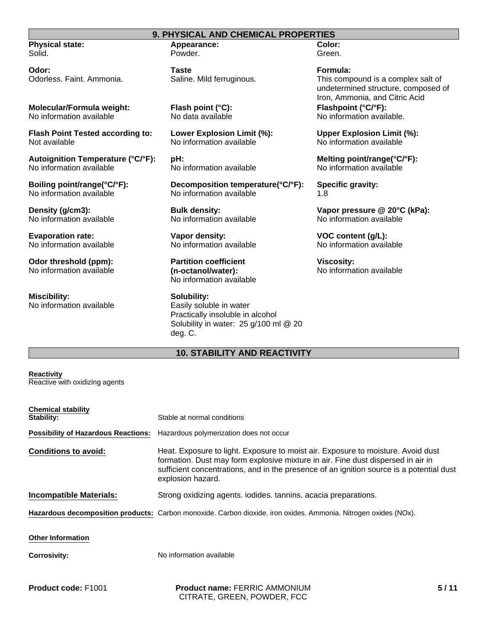#### **9. PHYSICAL AND CHEMICAL PROPERTIES**

**Physical state:** Solid.

**Odor:** Odorless. Faint. Ammonia.

**Molecular/Formula weight:** No information available

**Flash Point Tested according to:** Not available

**Autoignition Temperature (°C/°F):** No information available

**Boiling point/range(°C/°F):** No information available

**Density (g/cm3):** No information available

**Evaporation rate:** No information available

**Odor threshold (ppm):** No information available

**Miscibility:** No information available

### **Appearance:** Powder.

**Taste** Saline. Mild ferruginous.

**Flash point (°C):** No data available

**Lower Explosion Limit (%):** No information available

**pH:** No information available

**Decomposition temperature(°C/°F):** No information available

**Bulk density:** No information available

**Vapor density:** No information available

**Partition coefficient (n-octanol/water):** No information available

**Solubility:** Easily soluble in water Practically insoluble in alcohol Solubility in water: 25 g/100 ml @ 20 deg. C.

# **10. STABILITY AND REACTIVITY**

**Reactivity** Reactive with oxidizing agents

| <b>Chemical stability</b><br>Stability:    | Stable at normal conditions                                                                                                                                                                                                                                                           |
|--------------------------------------------|---------------------------------------------------------------------------------------------------------------------------------------------------------------------------------------------------------------------------------------------------------------------------------------|
| <b>Possibility of Hazardous Reactions:</b> | Hazardous polymerization does not occur                                                                                                                                                                                                                                               |
| <b>Conditions to avoid:</b>                | Heat. Exposure to light. Exposure to moist air. Exposure to moisture. Avoid dust<br>formation. Dust may form explosive mixture in air. Fine dust dispersed in air in<br>sufficient concentrations, and in the presence of an ignition source is a potential dust<br>explosion hazard. |
| <b>Incompatible Materials:</b>             | Strong oxidizing agents. iodides. tannins. acacia preparations.                                                                                                                                                                                                                       |
|                                            | Hazardous decomposition products: Carbon monoxide. Carbon dioxide. iron oxides. Ammonia. Nitrogen oxides (NOx).                                                                                                                                                                       |
| <b>Other Information</b>                   |                                                                                                                                                                                                                                                                                       |
| <b>Corrosivity:</b>                        | No information available                                                                                                                                                                                                                                                              |
|                                            |                                                                                                                                                                                                                                                                                       |

**Product code:** F1001

**Product name:** FERRIC AMMONIUM CITRATE, GREEN, POWDER, FCC

**Color:** Green.

**Formula:** This compound is a complex salt of undetermined structure, composed of Iron, Ammonia, and Citric Acid **Flashpoint (°C/°F):** No information available.

**Upper Explosion Limit (%):** No information available

**Melting point/range(°C/°F):** No information available

**Specific gravity:** 1.8

**Vapor pressure @ 20°C (kPa):** No information available

**VOC content (g/L):** No information available

**Viscosity:** No information available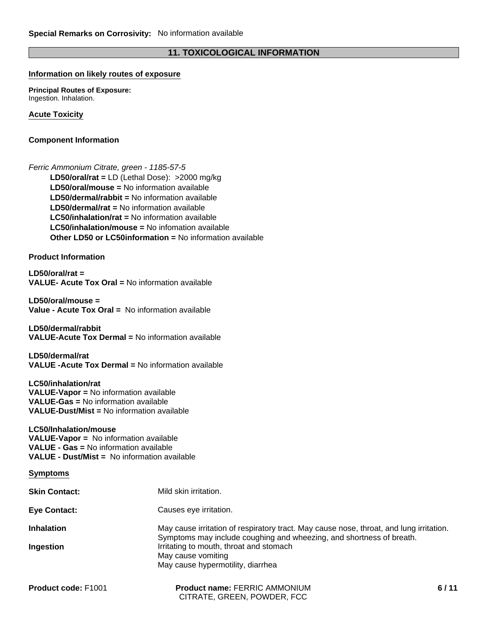# **11. TOXICOLOGICAL INFORMATION**

### **Information on likely routes of exposure**

**Principal Routes of Exposure:** Ingestion. Inhalation.

**Acute Toxicity**

#### **Component Information**

*Ferric Ammonium Citrate, green - 1185-57-5* **LD50/dermal/rat =** No information available **LC50/inhalation/rat =** No information available **LD50/oral/mouse =** No information available **LC50/inhalation/mouse =** No infomation available **LD50/oral/rat =** LD (Lethal Dose): >2000 mg/kg **Other LD50 or LC50information =** No information available **LD50/dermal/rabbit =** No information available

**Product Information**

**LD50/oral/rat = VALUE- Acute Tox Oral =** No information available

**LD50/oral/mouse = Value - Acute Tox Oral =** No information available

**LD50/dermal/rabbit VALUE-Acute Tox Dermal =** No information available

**LD50/dermal/rat VALUE -Acute Tox Dermal =** No information available

**LC50/inhalation/rat VALUE-Vapor =** No information available **VALUE-Gas =** No information available **VALUE-Dust/Mist =** No information available

#### **LC50/Inhalation/mouse**

**VALUE-Vapor =** No information available **VALUE - Gas =** No information available **VALUE - Dust/Mist =** No information available

| Symptoms |  |
|----------|--|
|----------|--|

| <b>Skin Contact:</b> | Mild skin irritation.                                                                                                                                           |
|----------------------|-----------------------------------------------------------------------------------------------------------------------------------------------------------------|
| <b>Eye Contact:</b>  | Causes eye irritation.                                                                                                                                          |
| <b>Inhalation</b>    | May cause irritation of respiratory tract. May cause nose, throat, and lung irritation.<br>Symptoms may include coughing and wheezing, and shortness of breath. |
| Ingestion            | Irritating to mouth, throat and stomach<br>May cause vomiting<br>May cause hypermotility, diarrhea                                                              |

| <b>Product code: F1001</b> | <b>Product name: FERRIC AMMONIUM</b> |
|----------------------------|--------------------------------------|
|                            | CITRATE, GREEN, POWDER, FCC          |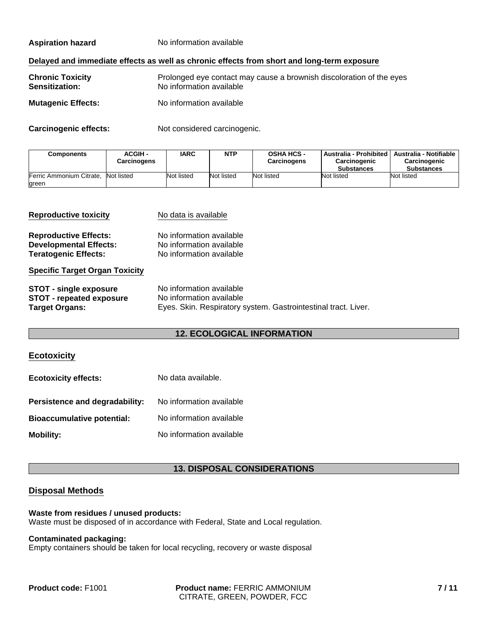**Aspiration hazard** No information available

#### **Delayed and immediate effects as well as chronic effects from short and long-term exposure**

| <b>Chronic Toxicity</b>   | Prolonged eye contact may cause a brownish discoloration of the eyes |
|---------------------------|----------------------------------------------------------------------|
| <b>Sensitization:</b>     | No information available                                             |
| <b>Mutagenic Effects:</b> | No information available                                             |

**Carcinogenic effects:** Not considered carcinogenic.

| <b>Components</b>                            | <b>ACGIH-</b><br>Carcinogens | <b>IARC</b> | <b>NTP</b> | <b>OSHA HCS -</b><br><b>Carcinogens</b> | Australia - Prohibited<br>Carcinogenic<br><b>Substances</b> | <b>Australia - Notifiable</b><br>Carcinogenic<br><b>Substances</b> |
|----------------------------------------------|------------------------------|-------------|------------|-----------------------------------------|-------------------------------------------------------------|--------------------------------------------------------------------|
| Ferric Ammonium Citrate, Not listed<br>green |                              | Not listed  | Not listed | Not listed                              | Not listed                                                  | Not listed                                                         |

| <b>Reproductive toxicity</b>          | No data is available                                           |
|---------------------------------------|----------------------------------------------------------------|
| <b>Reproductive Effects:</b>          | No information available                                       |
| <b>Developmental Effects:</b>         | No information available                                       |
| <b>Teratogenic Effects:</b>           | No information available                                       |
| <b>Specific Target Organ Toxicity</b> |                                                                |
| <b>STOT - single exposure</b>         | No information available                                       |
| <b>STOT - repeated exposure</b>       | No information available                                       |
| <b>Target Organs:</b>                 | Eyes. Skin. Respiratory system. Gastrointestinal tract. Liver. |

### **12. ECOLOGICAL INFORMATION**

#### **Ecotoxicity**

| <b>Ecotoxicity effects:</b>       | No data available.       |  |  |
|-----------------------------------|--------------------------|--|--|
| Persistence and degradability:    | No information available |  |  |
| <b>Bioaccumulative potential:</b> | No information available |  |  |
| <b>Mobility:</b>                  | No information available |  |  |

### **13. DISPOSAL CONSIDERATIONS**

### **Disposal Methods**

#### **Waste from residues / unused products:** Waste must be disposed of in accordance with Federal, State and Local regulation.

#### **Contaminated packaging:**

Empty containers should be taken for local recycling, recovery or waste disposal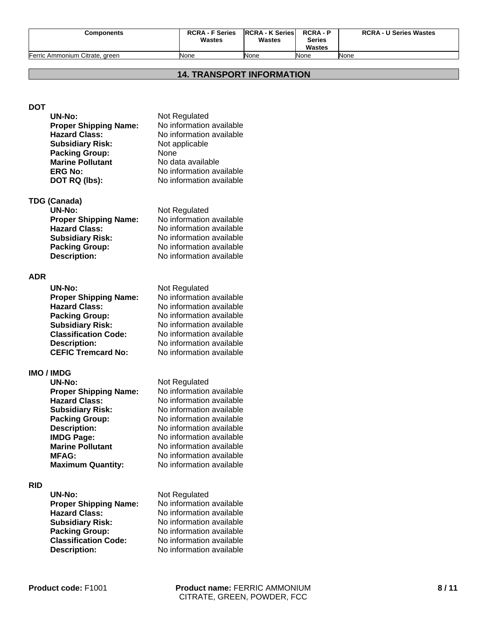| <b>Components</b>              | <b>RCRA - F Series</b><br>Wastes | <b>IRCRA - K Series</b><br><b>Wastes</b> | <b>RCRA-P</b><br><b>Series</b><br>Wastes | <b>RCRA - U Series Wastes</b> |
|--------------------------------|----------------------------------|------------------------------------------|------------------------------------------|-------------------------------|
| Ferric Ammonium Citrate, green | None                             | None                                     | None                                     | None                          |

#### **14. TRANSPORT INFORMATION**

# **DOT**

| <b>UN-No:</b>                | Not Regulated            |
|------------------------------|--------------------------|
| <b>Proper Shipping Name:</b> | No information available |
| <b>Hazard Class:</b>         | No information available |
| <b>Subsidiary Risk:</b>      | Not applicable           |
| <b>Packing Group:</b>        | None                     |
| <b>Marine Pollutant</b>      | No data available        |
| <b>ERG No:</b>               | No information available |
| DOT RQ (lbs):                | No information available |
|                              |                          |

#### **TDG (Canada)**

| Not Regulated            |
|--------------------------|
| No information available |
| No information available |
| No information available |
| No information available |
| No information available |
|                          |

# **ADR**

| <b>UN-No:</b>                | Not Regulated            |
|------------------------------|--------------------------|
| <b>Proper Shipping Name:</b> | No information available |
| <b>Hazard Class:</b>         | No information available |
| <b>Packing Group:</b>        | No information available |
| <b>Subsidiary Risk:</b>      | No information available |
| <b>Classification Code:</b>  | No information available |
| <b>Description:</b>          | No information available |
| <b>CEFIC Tremcard No:</b>    | No information available |

#### **IMO / IMDG**

| <b>UN-No:</b>                | Not Regulated  |
|------------------------------|----------------|
| <b>Proper Shipping Name:</b> | No information |
| <b>Hazard Class:</b>         | No information |
| <b>Subsidiary Risk:</b>      | No information |
| <b>Packing Group:</b>        | No information |
| <b>Description:</b>          | No information |
| <b>IMDG Page:</b>            | No information |
| <b>Marine Pollutant</b>      | No information |
| <b>MFAG:</b>                 | No information |
| <b>Maximum Quantity:</b>     | No information |
|                              |                |

#### **RID**

| <b>UN-No:</b>                |
|------------------------------|
| <b>Proper Shipping Name:</b> |
| <b>Hazard Class:</b>         |
| <b>Subsidiary Risk:</b>      |
| <b>Packing Group:</b>        |
| <b>Classification Code:</b>  |
| <b>Description:</b>          |
|                              |

**Not Regulated No information available Hazard Class:** No information available **Subsidiary Risk:** No information available **Packing Group:** No information available **Classification Code:** No information available **Description:** No information available

available available available **Packing Group:** No information available available available available available available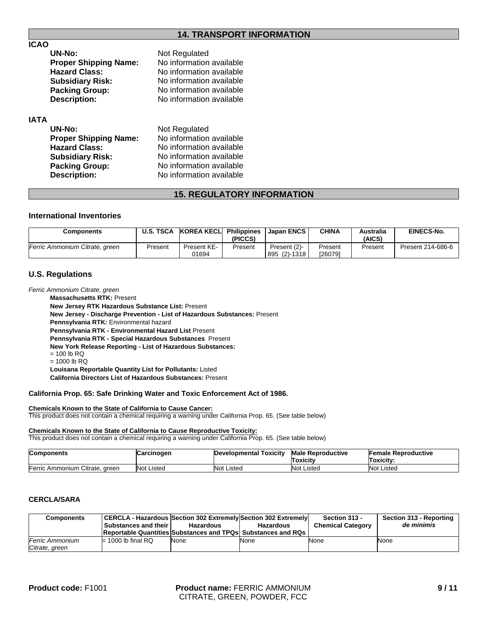### **14. TRANSPORT INFORMATION**

### **ICAO**

| UN-No:                       | Not Regulated            |
|------------------------------|--------------------------|
| <b>Proper Shipping Name:</b> | No information available |
| <b>Hazard Class:</b>         | No information available |
| <b>Subsidiary Risk:</b>      | No information available |
| <b>Packing Group:</b>        | No information available |
| <b>Description:</b>          | No information available |
|                              |                          |

#### **IATA**

| Not Regulated            |
|--------------------------|
| No information available |
| No information available |
| No information available |
| No information available |
| No information available |
|                          |

# **15. REGULATORY INFORMATION**

#### **International Inventories**

| <b>Components</b>              | <b>U.S. TSCA</b> | KOREA KECLI          | Philippines<br>(PICCS) | Japan ENCS                   | CHINA              | Australia<br>(AICS) | <b>EINECS-No.</b> |
|--------------------------------|------------------|----------------------|------------------------|------------------------------|--------------------|---------------------|-------------------|
| Ferric Ammonium Citrate, green | Present          | Present KE-<br>01694 | Present                | Present (2)-<br>895 (2)-1318 | Present<br>[26079] | Present             | Present 214-686-6 |

#### **U.S. Regulations**

*Ferric Ammonium Citrate, green*

**California Directors List of Hazardous Substances:** Present **Pennsylvania RTK:** Environmental hazard **Pennsylvania RTK - Environmental Hazard List** Present **New Jersey RTK Hazardous Substance List:** Present **Pennsylvania RTK - Special Hazardous Substances** Present **Massachusetts RTK:** Present **New York Release Reporting - List of Hazardous Substances:**  $= 100$  lb RQ  $= 1000$  lb RQ **New Jersey - Discharge Prevention - List of Hazardous Substances:** Present **Louisana Reportable Quantity List for Pollutants:** Listed

#### **California Prop. 65: Safe Drinking Water and Toxic Enforcement Act of 1986.**

#### **Chemicals Known to the State of California to Cause Cancer:**

This product does not contain a chemical requiring a warning under California Prop. 65. (See table below)

#### **Chemicals Known to the State of California to Cause Reproductive Toxicity:**

This product does not contain a chemical requiring a warning under California Prop. 65. (See table below)

| <b>Components</b>              | Carcinogen | <b>Developmental Toxicity</b> | <b>Male Reproductive</b><br>Toxicitv | <b>Female Reproductive</b><br>Toxicity: |
|--------------------------------|------------|-------------------------------|--------------------------------------|-----------------------------------------|
| Ferric Ammonium Citrate, green | Not Listed | <b>Not Listed</b>             | Not Listed                           | <b>Not Listed</b>                       |

### **CERCLA/SARA**

| Components                               | CERCLA - Hazardous  Section 302 Extremely Section 302 Extremely <br>Substances and their<br><b>Reportable Quantities Substances and TPQs Substances and RQs</b> | <b>Hazardous</b> | <b>Hazardous</b> | Section 313 -<br><b>Chemical Category</b> | Section 313 - Reporting<br>de minimis |
|------------------------------------------|-----------------------------------------------------------------------------------------------------------------------------------------------------------------|------------------|------------------|-------------------------------------------|---------------------------------------|
| <b>Ferric Ammonium</b><br>Citrate, green | $= 1000$ lb final RQ                                                                                                                                            | None             | None             | None                                      | <b>None</b>                           |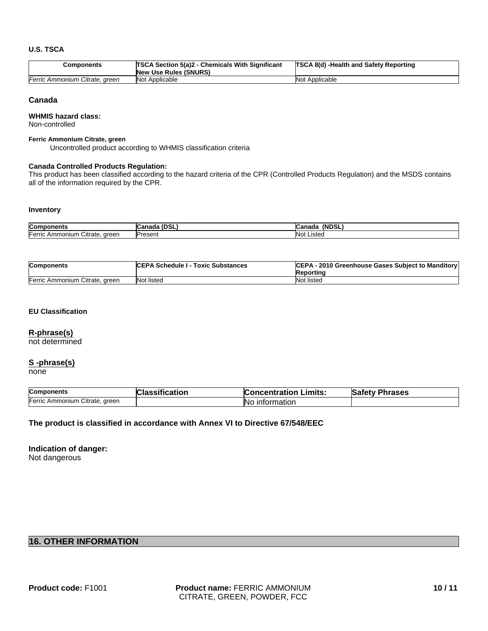#### **U.S. TSCA**

| Components                     | <b>TSCA Section 5(a)2 - Chemicals With Significant</b><br><b>New Use Rules (SNURS)</b> | <b>TSCA 8(d) -Health and Safety Reporting</b> |
|--------------------------------|----------------------------------------------------------------------------------------|-----------------------------------------------|
| Ferric Ammonium Citrate, green | Not Applicable                                                                         | Not Applicable                                |

#### **Canada**

#### **WHMIS hazard class:**

Non-controlled

#### **Ferric Ammonium Citrate, green**

Uncontrolled product according to WHMIS classification criteria

#### **Canada Controlled Products Regulation:**

This product has been classified according to the hazard criteria of the CPR (Controlled Products Regulation) and the MSDS contains all of the information required by the CPR.

#### **Inventory**

| <b>Components</b>                                          | והמו<br>$P = 1$<br>. י∟סט. .<br>iduc<br><b>L</b> di | <b>(NDSL</b><br>$-$<br>vanaua |
|------------------------------------------------------------|-----------------------------------------------------|-------------------------------|
| $\bar{}$<br>Ferric<br>Citrate.<br>areen<br>Ammonium<br>. . | Present                                             | ا ۱۸<br>Listed<br><b>NUL</b>  |

| <b>Components</b>              | <b>ICEPA Schedule I - Toxic Substances</b> | CEPA - 2010 Greenhouse Gases Subject to Manditory<br>Reportina |
|--------------------------------|--------------------------------------------|----------------------------------------------------------------|
| Ferric Ammonium Citrate, green | Not listed                                 | Not listed                                                     |

#### **EU Classification**

#### **R-phrase(s)**

not determined

#### **S -phrase(s)**

none

| <b>Components</b>              | Classification | <b>Concentration Limits:</b> | <b>Safety Phrases</b> |
|--------------------------------|----------------|------------------------------|-----------------------|
| Ferric Ammonium Citrate, green |                | <b>No</b> information        |                       |

#### **The product is classified in accordance with Annex VI to Directive 67/548/EEC**

# **Indication of danger:**

Not dangerous

# **16. OTHER INFORMATION**